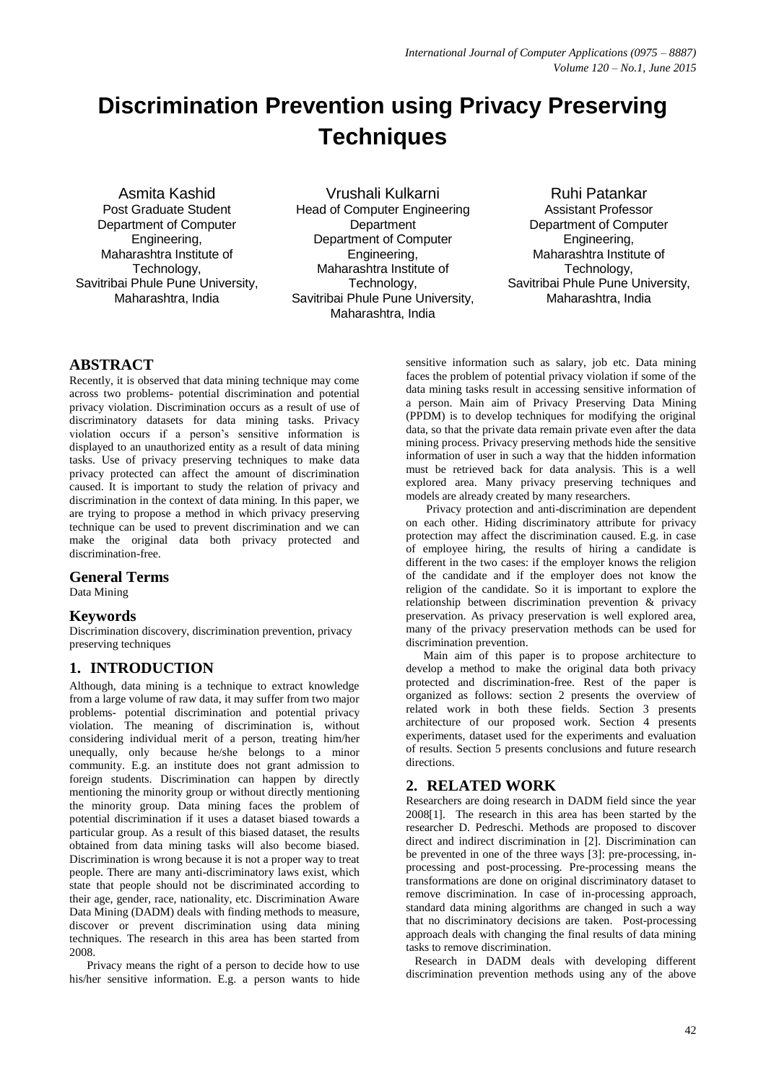# **Discrimination Prevention using Privacy Preserving Techniques**

Asmita Kashid Post Graduate Student Department of Computer Engineering, Maharashtra Institute of Technology, Savitribai Phule Pune University, Maharashtra, India

Vrushali Kulkarni Head of Computer Engineering **Department** Department of Computer Engineering, Maharashtra Institute of Technology, Savitribai Phule Pune University, Maharashtra, India

Ruhi Patankar Assistant Professor Department of Computer Engineering, Maharashtra Institute of Technology, Savitribai Phule Pune University, Maharashtra, India

## **ABSTRACT**

Recently, it is observed that data mining technique may come across two problems- potential discrimination and potential privacy violation. Discrimination occurs as a result of use of discriminatory datasets for data mining tasks. Privacy violation occurs if a person's sensitive information is displayed to an unauthorized entity as a result of data mining tasks. Use of privacy preserving techniques to make data privacy protected can affect the amount of discrimination caused. It is important to study the relation of privacy and discrimination in the context of data mining. In this paper, we are trying to propose a method in which privacy preserving technique can be used to prevent discrimination and we can make the original data both privacy protected and discrimination-free.

#### **General Terms**

Data Mining

#### **Keywords**

Discrimination discovery, discrimination prevention, privacy preserving techniques

## **1. INTRODUCTION**

Although, data mining is a technique to extract knowledge from a large volume of raw data, it may suffer from two major problems- potential discrimination and potential privacy violation. The meaning of discrimination is, without considering individual merit of a person, treating him/her unequally, only because he/she belongs to a minor community. E.g. an institute does not grant admission to foreign students. Discrimination can happen by directly mentioning the minority group or without directly mentioning the minority group. Data mining faces the problem of potential discrimination if it uses a dataset biased towards a particular group. As a result of this biased dataset, the results obtained from data mining tasks will also become biased. Discrimination is wrong because it is not a proper way to treat people. There are many anti-discriminatory laws exist, which state that people should not be discriminated according to their age, gender, race, nationality, etc. Discrimination Aware Data Mining (DADM) deals with finding methods to measure, discover or prevent discrimination using data mining techniques. The research in this area has been started from 2008.

 Privacy means the right of a person to decide how to use his/her sensitive information. E.g. a person wants to hide sensitive information such as salary, job etc. Data mining faces the problem of potential privacy violation if some of the data mining tasks result in accessing sensitive information of a person. Main aim of Privacy Preserving Data Mining (PPDM) is to develop techniques for modifying the original data, so that the private data remain private even after the data mining process. Privacy preserving methods hide the sensitive information of user in such a way that the hidden information must be retrieved back for data analysis. This is a well explored area. Many privacy preserving techniques and models are already created by many researchers.

 Privacy protection and anti-discrimination are dependent on each other. Hiding discriminatory attribute for privacy protection may affect the discrimination caused. E.g. in case of employee hiring, the results of hiring a candidate is different in the two cases: if the employer knows the religion of the candidate and if the employer does not know the religion of the candidate. So it is important to explore the relationship between discrimination prevention & privacy preservation. As privacy preservation is well explored area, many of the privacy preservation methods can be used for discrimination prevention.

 Main aim of this paper is to propose architecture to develop a method to make the original data both privacy protected and discrimination-free. Rest of the paper is organized as follows: section 2 presents the overview of related work in both these fields. Section 3 presents architecture of our proposed work. Section 4 presents experiments, dataset used for the experiments and evaluation of results. Section 5 presents conclusions and future research directions.

## **2. RELATED WORK**

Researchers are doing research in DADM field since the year 2008[1]. The research in this area has been started by the researcher D. Pedreschi. Methods are proposed to discover direct and indirect discrimination in [2]. Discrimination can be prevented in one of the three ways [3]: pre-processing, inprocessing and post-processing. Pre-processing means the transformations are done on original discriminatory dataset to remove discrimination. In case of in-processing approach, standard data mining algorithms are changed in such a way that no discriminatory decisions are taken. Post-processing approach deals with changing the final results of data mining tasks to remove discrimination.

 Research in DADM deals with developing different discrimination prevention methods using any of the above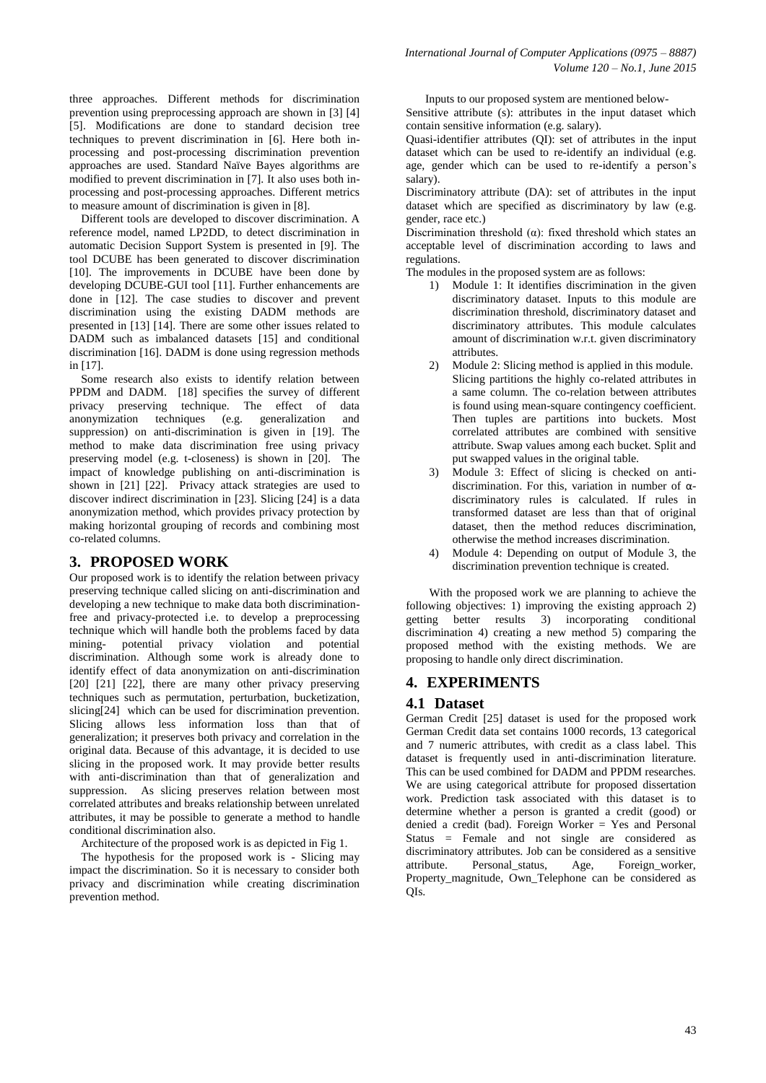three approaches. Different methods for discrimination prevention using preprocessing approach are shown in [3] [4] [5]. Modifications are done to standard decision tree techniques to prevent discrimination in [6]. Here both inprocessing and post-processing discrimination prevention approaches are used. Standard Naïve Bayes algorithms are modified to prevent discrimination in [7]. It also uses both inprocessing and post-processing approaches. Different metrics to measure amount of discrimination is given in [8].

 Different tools are developed to discover discrimination. A reference model, named LP2DD, to detect discrimination in automatic Decision Support System is presented in [9]. The tool DCUBE has been generated to discover discrimination [10]. The improvements in DCUBE have been done by developing DCUBE-GUI tool [11]. Further enhancements are done in [12]. The case studies to discover and prevent discrimination using the existing DADM methods are presented in [13] [14]. There are some other issues related to DADM such as imbalanced datasets [15] and conditional discrimination [16]. DADM is done using regression methods in [17].

 Some research also exists to identify relation between PPDM and DADM. [18] specifies the survey of different privacy preserving technique. The effect of data<br>anonymization techniques (e.g. generalization and anonymization techniques (e.g. generalization and suppression) on anti-discrimination is given in [19]. The method to make data discrimination free using privacy preserving model (e.g. t-closeness) is shown in [20]. The impact of knowledge publishing on anti-discrimination is shown in [21] [22]. Privacy attack strategies are used to discover indirect discrimination in [23]. Slicing [24] is a data anonymization method, which provides privacy protection by making horizontal grouping of records and combining most co-related columns.

#### **3. PROPOSED WORK**

Our proposed work is to identify the relation between privacy preserving technique called slicing on anti-discrimination and developing a new technique to make data both discriminationfree and privacy-protected i.e. to develop a preprocessing technique which will handle both the problems faced by data mining- potential privacy violation and potential discrimination. Although some work is already done to identify effect of data anonymization on anti-discrimination [20] [21] [22], there are many other privacy preserving techniques such as permutation, perturbation, bucketization, slicing[24] which can be used for discrimination prevention. Slicing allows less information loss than that of generalization; it preserves both privacy and correlation in the original data. Because of this advantage, it is decided to use slicing in the proposed work. It may provide better results with anti-discrimination than that of generalization and suppression. As slicing preserves relation between most correlated attributes and breaks relationship between unrelated attributes, it may be possible to generate a method to handle conditional discrimination also.

Architecture of the proposed work is as depicted in Fig 1.

 The hypothesis for the proposed work is - Slicing may impact the discrimination. So it is necessary to consider both privacy and discrimination while creating discrimination prevention method.

Inputs to our proposed system are mentioned below-

Sensitive attribute (s): attributes in the input dataset which contain sensitive information (e.g. salary).

Quasi-identifier attributes (QI): set of attributes in the input dataset which can be used to re-identify an individual (e.g. age, gender which can be used to re-identify a person's salary).

Discriminatory attribute (DA): set of attributes in the input dataset which are specified as discriminatory by law (e.g. gender, race etc.)

Discrimination threshold  $(\alpha)$ : fixed threshold which states an acceptable level of discrimination according to laws and regulations.

The modules in the proposed system are as follows:

- 1) Module 1: It identifies discrimination in the given discriminatory dataset. Inputs to this module are discrimination threshold, discriminatory dataset and discriminatory attributes. This module calculates amount of discrimination w.r.t. given discriminatory attributes.
- 2) Module 2: Slicing method is applied in this module. Slicing partitions the highly co-related attributes in a same column. The co-relation between attributes is found using mean-square contingency coefficient. Then tuples are partitions into buckets. Most correlated attributes are combined with sensitive attribute. Swap values among each bucket. Split and put swapped values in the original table.
- 3) Module 3: Effect of slicing is checked on antidiscrimination. For this, variation in number of αdiscriminatory rules is calculated. If rules in transformed dataset are less than that of original dataset, then the method reduces discrimination, otherwise the method increases discrimination.
- 4) Module 4: Depending on output of Module 3, the discrimination prevention technique is created.

 With the proposed work we are planning to achieve the following objectives: 1) improving the existing approach 2) getting better results 3) incorporating conditional discrimination 4) creating a new method 5) comparing the proposed method with the existing methods. We are proposing to handle only direct discrimination.

## **4. EXPERIMENTS**

#### **4.1 Dataset**

German Credit [25] dataset is used for the proposed work German Credit data set contains 1000 records, 13 categorical and 7 numeric attributes, with credit as a class label. This dataset is frequently used in anti-discrimination literature. This can be used combined for DADM and PPDM researches. We are using categorical attribute for proposed dissertation work. Prediction task associated with this dataset is to determine whether a person is granted a credit (good) or denied a credit (bad). Foreign Worker = Yes and Personal Status = Female and not single are considered as discriminatory attributes. Job can be considered as a sensitive attribute. Personal\_status, Age, Foreign\_worker, Property\_magnitude, Own\_Telephone can be considered as QIs.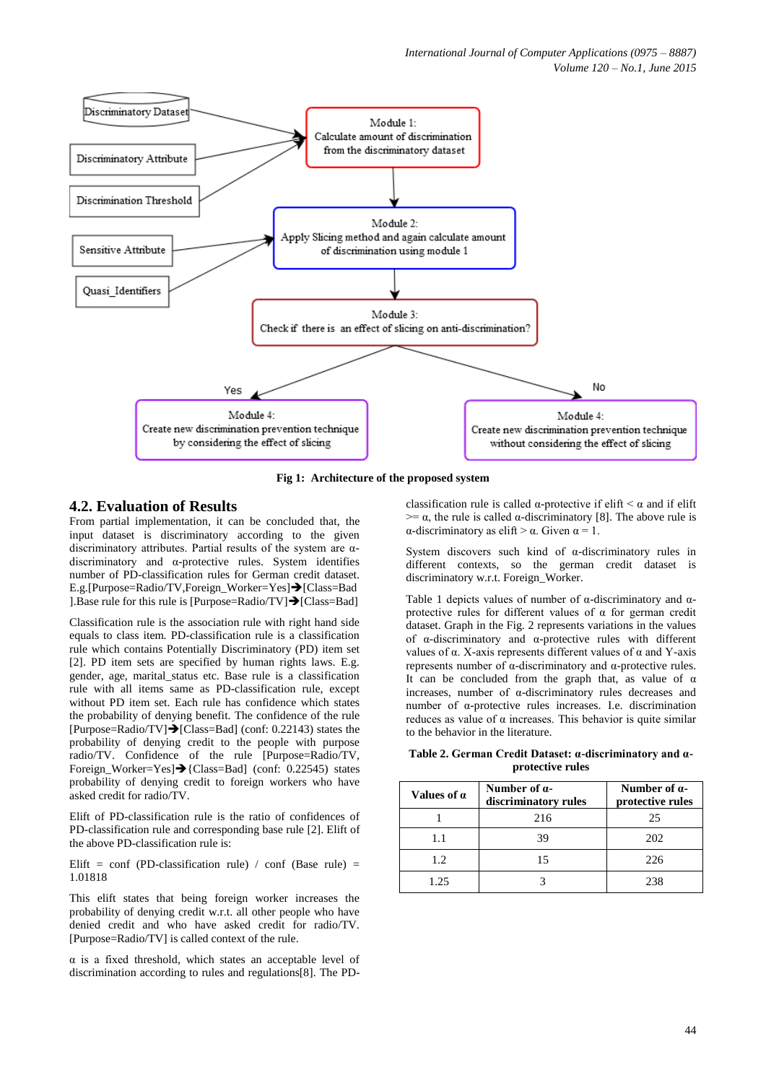

**Fig 1: Architecture of the proposed system**

### **4.2. Evaluation of Results**

From partial implementation, it can be concluded that, the input dataset is discriminatory according to the given discriminatory attributes. Partial results of the system are αdiscriminatory and α-protective rules. System identifies number of PD-classification rules for German credit dataset. E.g.[Purpose=Radio/TV,Foreign\_Worker=Yes]→[Class=Bad] ].Base rule for this rule is [Purpose=Radio/TV] $\rightarrow$ [Class=Bad]

Classification rule is the association rule with right hand side equals to class item. PD-classification rule is a classification rule which contains Potentially Discriminatory (PD) item set [2]. PD item sets are specified by human rights laws. E.g. gender, age, marital\_status etc. Base rule is a classification rule with all items same as PD-classification rule, except without PD item set. Each rule has confidence which states the probability of denying benefit. The confidence of the rule  $[Purpose=Radio/TV] \rightarrow [Class=Bad] (conf: 0.22143)$  states the probability of denying credit to the people with purpose radio/TV. Confidence of the rule [Purpose=Radio/TV, Foreign Worker=Yes] $\rightarrow$ {Class=Bad] (conf: 0.22545) states probability of denying credit to foreign workers who have asked credit for radio/TV.

Elift of PD-classification rule is the ratio of confidences of PD-classification rule and corresponding base rule [2]. Elift of the above PD-classification rule is:

Elift = conf (PD-classification rule) / conf (Base rule) = 1.01818

This elift states that being foreign worker increases the probability of denying credit w.r.t. all other people who have denied credit and who have asked credit for radio/TV. [Purpose=Radio/TV] is called context of the rule.

α is a fixed threshold, which states an acceptable level of discrimination according to rules and regulations[8]. The PD-

classification rule is called  $\alpha$ -protective if elift  $\alpha$  and if elift  $>= \alpha$ , the rule is called  $\alpha$ -discriminatory [8]. The above rule is α-discriminatory as elift  $>$  α. Given  $α = 1$ .

System discovers such kind of α-discriminatory rules in different contexts, so the german credit dataset is discriminatory w.r.t. Foreign\_Worker.

Table 1 depicts values of number of  $\alpha$ -discriminatory and  $\alpha$ protective rules for different values of α for german credit dataset. Graph in the Fig. 2 represents variations in the values of α-discriminatory and α-protective rules with different values of α. X-axis represents different values of α and Y-axis represents number of α-discriminatory and α-protective rules. It can be concluded from the graph that, as value of  $\alpha$ increases, number of α-discriminatory rules decreases and number of α-protective rules increases. I.e. discrimination reduces as value of α increases. This behavior is quite similar to the behavior in the literature.

**Table 2. German Credit Dataset: α-discriminatory and αprotective rules**

| Values of $\alpha$ | Number of $\alpha$ -<br>discriminatory rules | Number of $\alpha$ -<br>protective rules |
|--------------------|----------------------------------------------|------------------------------------------|
|                    | 216                                          | 25                                       |
| 1.1                | 39                                           | 202                                      |
| 1.2                | 15                                           | 226                                      |
| 1.25               |                                              | 238                                      |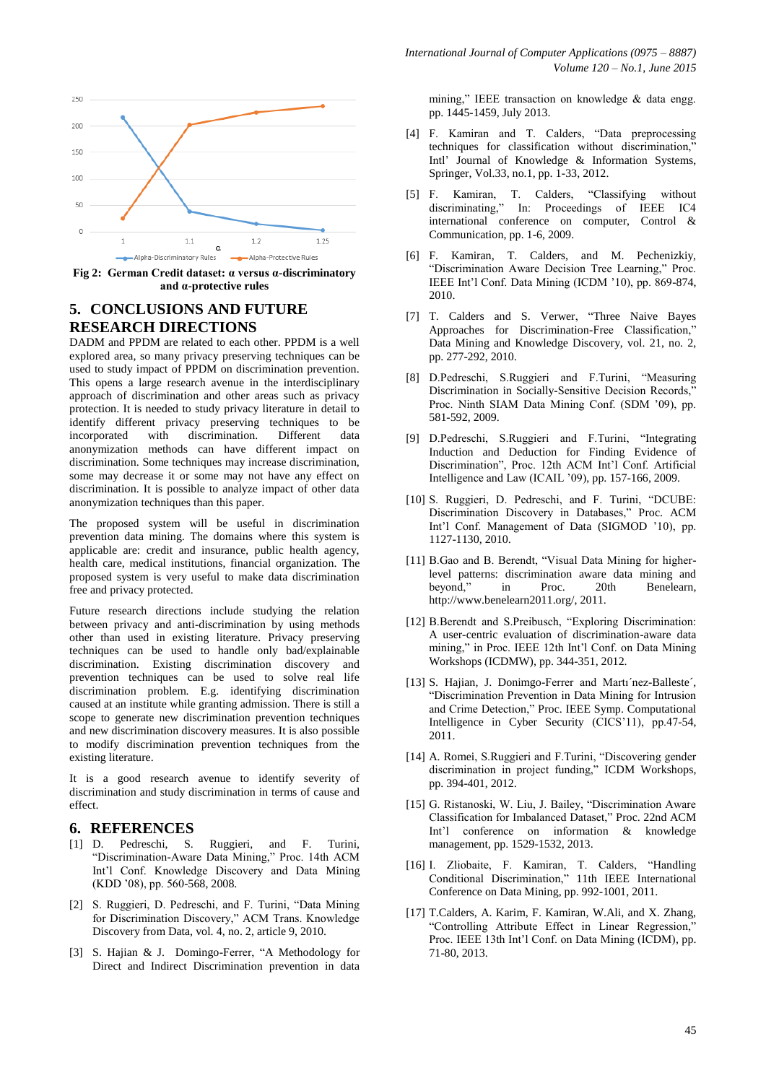

**Fig 2: German Credit dataset: α versus α-discriminatory and α-protective rules**

#### **5. CONCLUSIONS AND FUTURE RESEARCH DIRECTIONS**

DADM and PPDM are related to each other. PPDM is a well explored area, so many privacy preserving techniques can be used to study impact of PPDM on discrimination prevention. This opens a large research avenue in the interdisciplinary approach of discrimination and other areas such as privacy protection. It is needed to study privacy literature in detail to identify different privacy preserving techniques to be incorporated with discrimination. Different data anonymization methods can have different impact on discrimination. Some techniques may increase discrimination, some may decrease it or some may not have any effect on discrimination. It is possible to analyze impact of other data anonymization techniques than this paper.

The proposed system will be useful in discrimination prevention data mining. The domains where this system is applicable are: credit and insurance, public health agency, health care, medical institutions, financial organization. The proposed system is very useful to make data discrimination free and privacy protected.

Future research directions include studying the relation between privacy and anti-discrimination by using methods other than used in existing literature. Privacy preserving techniques can be used to handle only bad/explainable discrimination. Existing discrimination discovery and prevention techniques can be used to solve real life discrimination problem. E.g. identifying discrimination caused at an institute while granting admission. There is still a scope to generate new discrimination prevention techniques and new discrimination discovery measures. It is also possible to modify discrimination prevention techniques from the existing literature.

It is a good research avenue to identify severity of discrimination and study discrimination in terms of cause and effect.

#### **6. REFERENCES**

- [1] D. Pedreschi, S. Ruggieri, and F. Turini, "Discrimination-Aware Data Mining," Proc. 14th ACM Int'l Conf. Knowledge Discovery and Data Mining (KDD '08), pp. 560-568, 2008.
- [2] S. Ruggieri, D. Pedreschi, and F. Turini, "Data Mining for Discrimination Discovery," ACM Trans. Knowledge Discovery from Data, vol. 4, no. 2, article 9, 2010.
- [3] S. Hajian & J. Domingo-Ferrer, "A Methodology for Direct and Indirect Discrimination prevention in data

mining," IEEE transaction on knowledge & data engg. pp. 1445-1459, July 2013.

- [4] F. Kamiran and T. Calders, "Data preprocessing techniques for classification without discrimination," Intl' Journal of Knowledge & Information Systems, Springer, Vol.33, no.1, pp. 1-33, 2012.
- [5] F. Kamiran, T. Calders, "Classifying without discriminating," In: Proceedings of IEEE IC4 international conference on computer, Control & Communication, pp. 1-6, 2009.
- [6] F. Kamiran, T. Calders, and M. Pechenizkiy, "Discrimination Aware Decision Tree Learning," Proc. IEEE Int'l Conf. Data Mining (ICDM '10), pp. 869-874, 2010.
- [7] T. Calders and S. Verwer, "Three Naive Bayes Approaches for Discrimination-Free Classification," Data Mining and Knowledge Discovery, vol. 21, no. 2, pp. 277-292, 2010.
- [8] D.Pedreschi, S.Ruggieri and F.Turini, "Measuring Discrimination in Socially-Sensitive Decision Records.<sup>7</sup> Proc. Ninth SIAM Data Mining Conf. (SDM '09), pp. 581-592, 2009.
- [9] D.Pedreschi, S.Ruggieri and F.Turini, "Integrating Induction and Deduction for Finding Evidence of Discrimination", Proc. 12th ACM Int'l Conf. Artificial Intelligence and Law (ICAIL '09), pp. 157-166, 2009.
- [10] S. Ruggieri, D. Pedreschi, and F. Turini, "DCUBE: Discrimination Discovery in Databases," Proc. ACM Int'l Conf. Management of Data (SIGMOD '10), pp. 1127-1130, 2010.
- [11] B.Gao and B. Berendt, "Visual Data Mining for higherlevel patterns: discrimination aware data mining and beyond," in Proc. 20th Benelearn, [http://www.benelearn2011.org/,](http://www.benelearn2011.org/) 2011.
- [12] B.Berendt and S.Preibusch, "Exploring Discrimination: A user-centric evaluation of discrimination-aware data mining," in Proc. IEEE 12th Int'l Conf. on Data Mining Workshops (ICDMW), pp. 344-351, 2012.
- [13] S. Hajian, J. Donimgo-Ferrer and Martı'nez-Balleste', "Discrimination Prevention in Data Mining for Intrusion and Crime Detection," Proc. IEEE Symp. Computational Intelligence in Cyber Security (CICS'11), pp.47-54, 2011.
- [14] A. Romei, S.Ruggieri and F.Turini, "Discovering gender discrimination in project funding," ICDM Workshops, pp. 394-401, 2012.
- [15] G. Ristanoski, W. Liu, J. Bailey, "Discrimination Aware Classification for Imbalanced Dataset," Proc. 22nd ACM Int'l conference on information & knowledge management, pp. 1529-1532, 2013.
- [16] I. Zliobaite, F. Kamiran, T. Calders, "Handling Conditional Discrimination," 11th IEEE International Conference on Data Mining, pp. 992-1001, 2011.
- [17] T.Calders, A. Karim, F. Kamiran, W.Ali, and X. Zhang, "Controlling Attribute Effect in Linear Regression," Proc. IEEE 13th Int'l Conf. on Data Mining (ICDM), pp. 71-80, 2013.